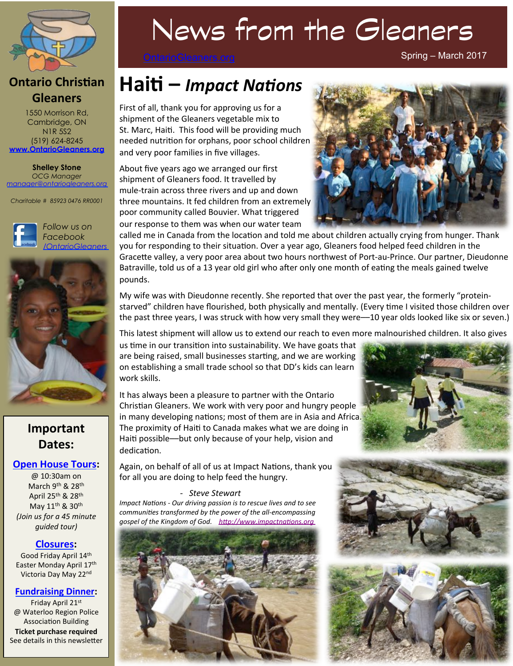

### **Ontario Christian Gleaners**

1550 Morrison Rd, Cambridge, ON N1R 5S2 (519) 624-8245 **www.OntarioGleaners.org**

**Shelley Stone** *OCG Manager manager@ontariogleaners.org*

*Charitable # 85923 0476 RR0001* 





## **Important Dates:**

### **Open House Tours:**

 $@10.30am$  on March 9<sup>th</sup> & 28<sup>th</sup> April 25<sup>th</sup> & 28<sup>th</sup> May 11<sup>th</sup> & 30<sup>th</sup> *(Join us for a 45 minute guided* tour)

### **Closures:**

Good Friday April 14th Easter Monday April 17th Victoria Day May 22nd

### **Fundraising Dinner:**

Friday April 21st @ Waterloo Region Police Association Building

**Ticket purchase required** See details in this newsletter

# News from the Gleaners

OntarioGleaners.org

Spring – March 2017

# Haiti – *Impact Nations*

First of all, thank you for approving us for a shipment of the Gleaners vegetable mix to St. Marc, Haiti. This food will be providing much needed nutrition for orphans, poor school children and very poor families in five villages.

About five years ago we arranged our first shipment of Gleaners food. It travelled by mule-train across three rivers and up and down three mountains. It fed children from an extremely poor community called Bouvier. What triggered our response to them was when our water team



called me in Canada from the location and told me about children actually crying from hunger. Thank you for responding to their situation. Over a year ago, Gleaners food helped feed children in the Gracette valley, a very poor area about two hours northwest of Port-au-Prince. Our partner, Dieudonne Batraville, told us of a 13 year old girl who after only one month of eating the meals gained twelve pounds. 

My wife was with Dieudonne recently. She reported that over the past year, the formerly "proteinstarved" children have flourished, both physically and mentally. (Every time I visited those children over the past three years, I was struck with how very small they were—10 year olds looked like six or seven.)

This latest shipment will allow us to extend our reach to even more malnourished children. It also gives

us time in our transition into sustainability. We have goats that are being raised, small businesses starting, and we are working on establishing a small trade school so that DD's kids can learn work skills.

It has always been a pleasure to partner with the Ontario Christian Gleaners. We work with very poor and hungry people in many developing nations; most of them are in Asia and Africa. The proximity of Haiti to Canada makes what we are doing in Haiti possible—but only because of your help, vision and dedication.

Again, on behalf of all of us at Impact Nations, thank you for all you are doing to help feed the hungry.

#### *- Steve Stewart*

*Impact Nations - Our driving passion is to rescue lives and to see communities transformed by the power of the all-encompassing gospel of the Kingdom of God. http://www.impactnations.org* 







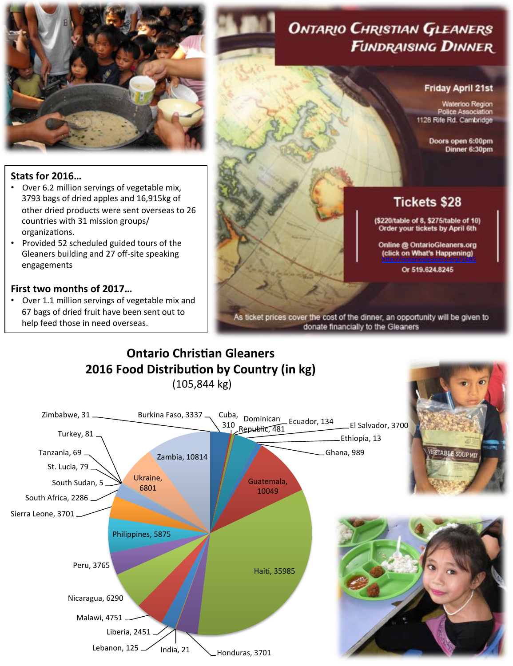

# **ONTARIO CHRISTIAN GLEANERS FUNDRAISING DINNER**

#### **Friday April 21st**

Waterloo Region Police Association 1128 Rife Rd. Cambridge

> Doors open 6:00pm Dinner 6:30pm

# **Stats for 2016...**

- Over 6.2 million servings of vegetable mix, 3793 bags of dried apples and 16,915kg of other dried products were sent overseas to 26 countries with 31 mission groups/ organizations.
- Provided 52 scheduled guided tours of the Gleaners building and 27 off-site speaking engagements

### **First two months of 2017...**

Over 1.1 million servings of vegetable mix and 67 bags of dried fruit have been sent out to help feed those in need overseas.

# **Tickets \$28**

(\$220/table of 8, \$275/table of 10) Order your tickets by April 6th

**Online @ OntarioGleaners.org** http://ontariogleaners.org/1485

Or 519.624.8245

As ticket prices cover the cost of the dinner, an opportunity will be given to donate financially to the Gleaners

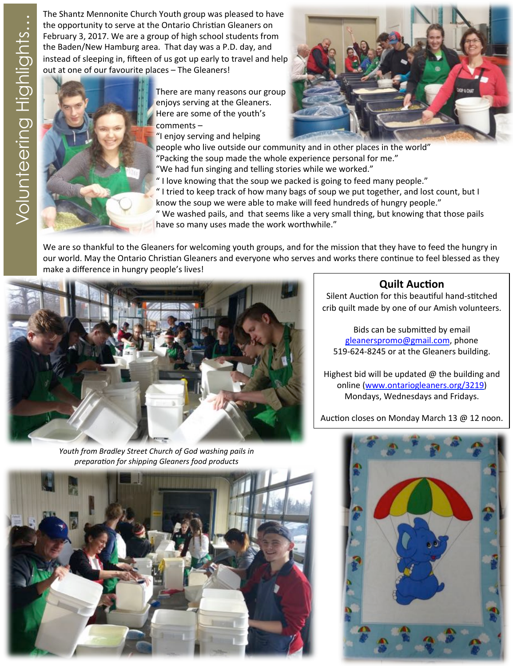the opportunity to serve at the Ontario Christian Gleaners on February 3, 2017. We are a group of high school students from the Baden/New Hamburg area. That day was a P.D. day, and instead of sleeping in, fifteen of us got up early to travel and help out at one of our favourite places - The Gleaners!



There are many reasons our group enjoys serving at the Gleaners. Here are some of the youth's comments –

"I enjoy serving and helping

people who live outside our community and in other places in the world" "Packing the soup made the whole experience personal for me." "We had fun singing and telling stories while we worked."

" I love knowing that the soup we packed is going to feed many people."

" I tried to keep track of how many bags of soup we put together, and lost count, but I know the soup we were able to make will feed hundreds of hungry people."

" We washed pails, and that seems like a very small thing, but knowing that those pails have so many uses made the work worthwhile."

We are so thankful to the Gleaners for welcoming youth groups, and for the mission that they have to feed the hungry in our world. May the Ontario Christian Gleaners and everyone who serves and works there continue to feel blessed as they make a difference in hungry people's lives!



*Youth from Bradley Street Church of God washing pails in preparation for shipping Gleaners food products* 

### **Quilt Auction**

Silent Auction for this beautiful hand-stitched crib quilt made by one of our Amish volunteers.

Bids can be submitted by email gleanerspromo@gmail.com, phone 519-624-8245 or at the Gleaners building.

Highest bid will be updated  $\omega$  the building and online (www.ontariogleaners.org/3219) Mondays, Wednesdays and Fridays.

Auction closes on Monday March 13  $@$  12 noon.